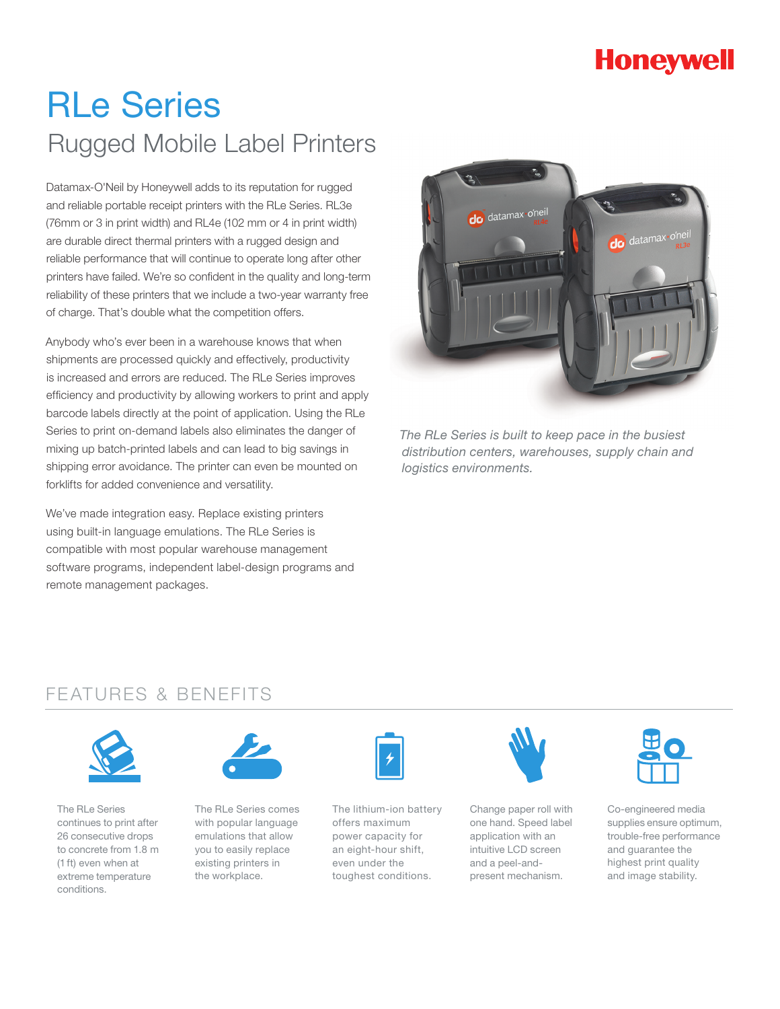## **Honeywell**

# RLe Series Rugged Mobile Label Printers

Datamax-O'Neil by Honeywell adds to its reputation for rugged and reliable portable receipt printers with the RLe Series. RL3e (76mm or 3 in print width) and RL4e (102 mm or 4 in print width) are durable direct thermal printers with a rugged design and reliable performance that will continue to operate long after other printers have failed. We're so confident in the quality and long-term reliability of these printers that we include a two-year warranty free of charge. That's double what the competition offers.

Anybody who's ever been in a warehouse knows that when shipments are processed quickly and effectively, productivity is increased and errors are reduced. The RLe Series improves efficiency and productivity by allowing workers to print and apply barcode labels directly at the point of application. Using the RLe Series to print on-demand labels also eliminates the danger of mixing up batch-printed labels and can lead to big savings in shipping error avoidance. The printer can even be mounted on forklifts for added convenience and versatility.

We've made integration easy. Replace existing printers using built-in language emulations. The RLe Series is compatible with most popular warehouse management software programs, independent label-design programs and remote management packages.



*The RLe Series is built to keep pace in the busiest distribution centers, warehouses, supply chain and logistics environments.*

### FEATURES & BENEFITS



The RLe Series continues to print after 26 consecutive drops to concrete from 1.8 m (1 ft) even when at extreme temperature conditions.



The RLe Series comes with popular language emulations that allow you to easily replace existing printers in the workplace.



The lithium-ion battery offers maximum power capacity for an eight-hour shift, even under the toughest conditions.



Change paper roll with one hand. Speed label application with an intuitive LCD screen and a peel-andpresent mechanism.



Co-engineered media supplies ensure optimum, trouble-free performance and guarantee the highest print quality and image stability.